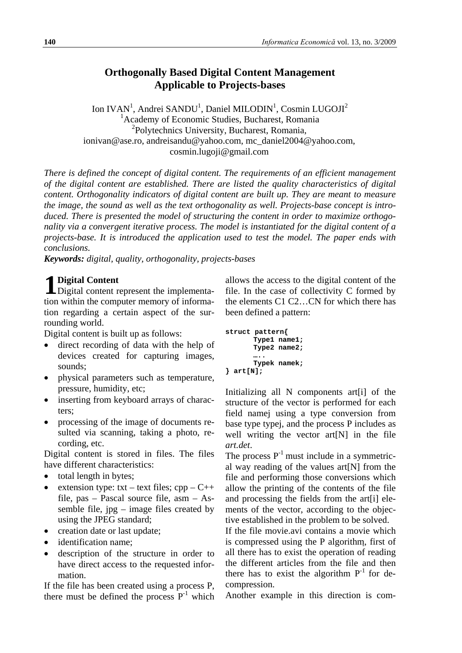# **Orthogonally Based Digital Content Management Applicable to Projects-bases**

Ion IVAN<sup>1</sup>, Andrei SANDU<sup>1</sup>, Daniel MILODIN<sup>1</sup>, Cosmin LUGOJI<sup>2</sup> <sup>1</sup> Academy of Economic Studies, Bucharest, Romania <sup>2</sup>Polytechnics University, Bucharest, Romania, ionivan@ase.ro, andreisandu@yahoo.com, mc\_daniel2004@yahoo.com, cosmin.lugoji@gmail.com

*There is defined the concept of digital content. The requirements of an efficient management of the digital content are established. There are listed the quality characteristics of digital content. Orthogonality indicators of digital content are built up. They are meant to measure the image, the sound as well as the text orthogonality as well. Projects-base concept is introduced. There is presented the model of structuring the content in order to maximize orthogonality via a convergent iterative process. The model is instantiated for the digital content of a projects-base. It is introduced the application used to test the model. The paper ends with conclusions.*

*Keywords: digital, quality, orthogonality, projects-bases*

# **Digital Content**

Digital Content<br>Digital content represent the implementation within the computer memory of information regarding a certain aspect of the surrounding world.

Digital content is built up as follows:

- direct recording of data with the help of devices created for capturing images, sounds;
- physical parameters such as temperature, pressure, humidity, etc;
- inserting from keyboard arrays of characters;
- processing of the image of documents resulted via scanning, taking a photo, recording, etc.

Digital content is stored in files. The files have different characteristics:

- total length in bytes;
- extension type: txt text files;  $cpp C++$ file, pas – Pascal source file, asm – Assemble file, jpg – image files created by using the JPEG standard;
- creation date or last update:
- identification name:
- description of the structure in order to have direct access to the requested information.

If the file has been created using a process P, there must be defined the process  $P^{-1}$  which

allows the access to the digital content of the file. In the case of collectivity C formed by the elements C1 C2…CN for which there has been defined a pattern:

```
struct pattern{
       Type1 name1;
       Type2 name2;
       …..
       Typek namek;
} art[N];
```
Initializing all N components art[i] of the structure of the vector is performed for each field namej using a type conversion from base type typej, and the process P includes as well writing the vector art[N] in the file *art.det*.

The process  $P^{-1}$  must include in a symmetrical way reading of the values art[N] from the file and performing those conversions which allow the printing of the contents of the file and processing the fields from the art[i] elements of the vector, according to the objective established in the problem to be solved.

If the file movie.avi contains a movie which is compressed using the P algorithm, first of all there has to exist the operation of reading the different articles from the file and then there has to exist the algorithm  $P^{-1}$  for decompression.

Another example in this direction is com-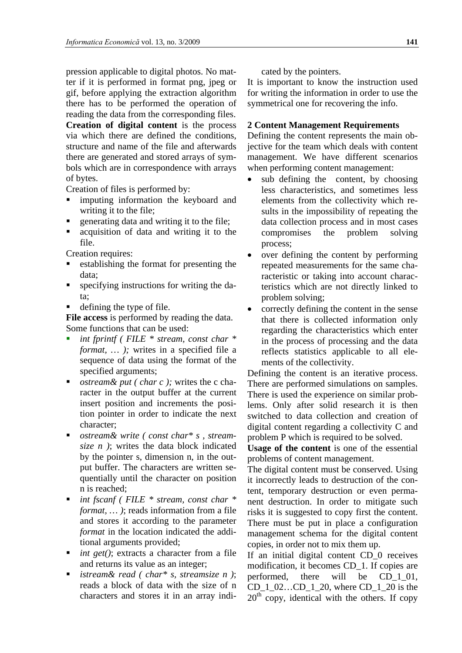pression applicable to digital photos. No matter if it is performed in format png, jpeg or gif, before applying the extraction algorithm there has to be performed the operation of reading the data from the corresponding files.

**Creation of digital content** is the process via which there are defined the conditions, structure and name of the file and afterwards there are generated and stored arrays of symbols which are in correspondence with arrays of bytes.

Creation of files is performed by:

- imputing information the keyboard and writing it to the file;
- generating data and writing it to the file;
- acquisition of data and writing it to the file.

Creation requires:

- establishing the format for presenting the data;
- specifying instructions for writing the data;
- defining the type of file.

**File access** is performed by reading the data. Some functions that can be used:

- *int fprintf ( FILE \* stream, const char \* format, … );* writes in a specified file a sequence of data using the format of the specified arguments;
- *ostream& put ( char c );* writes the c character in the output buffer at the current insert position and increments the position pointer in order to indicate the next character;
- *ostream& write ( const char\* s , streamsize n )*; writes the data block indicated by the pointer s, dimension n, in the output buffer. The characters are written sequentially until the character on position n is reached;
- *int fscanf ( FILE \* stream, const char \* format, … )*; reads information from a file and stores it according to the parameter *format* in the location indicated the additional arguments provided;
- *int get()*; extracts a character from a file and returns its value as an integer;
- *istream& read ( char\* s, streamsize n )*; reads a block of data with the size of n characters and stores it in an array indi-

cated by the pointers.

It is important to know the instruction used for writing the information in order to use the symmetrical one for recovering the info.

## **2 Content Management Requirements**

Defining the content represents the main objective for the team which deals with content management. We have different scenarios when performing content management:

- sub defining the content, by choosing less characteristics, and sometimes less elements from the collectivity which results in the impossibility of repeating the data collection process and in most cases compromises the problem solving process;
- over defining the content by performing repeated measurements for the same characteristic or taking into account characteristics which are not directly linked to problem solving;
- correctly defining the content in the sense that there is collected information only regarding the characteristics which enter in the process of processing and the data reflects statistics applicable to all elements of the collectivity.

Defining the content is an iterative process. There are performed simulations on samples. There is used the experience on similar problems. Only after solid research it is then switched to data collection and creation of digital content regarding a collectivity C and problem P which is required to be solved.

**Usage of the content** is one of the essential problems of content management.

The digital content must be conserved. Using it incorrectly leads to destruction of the content, temporary destruction or even permanent destruction. In order to mitigate such risks it is suggested to copy first the content. There must be put in place a configuration management schema for the digital content copies, in order not to mix them up.

If an initial digital content CD\_0 receives modification, it becomes CD 1. If copies are performed, there will be CD\_1\_01, CD 1 02…CD 1 20, where CD 1 20 is the  $20<sup>th</sup>$  copy, identical with the others. If copy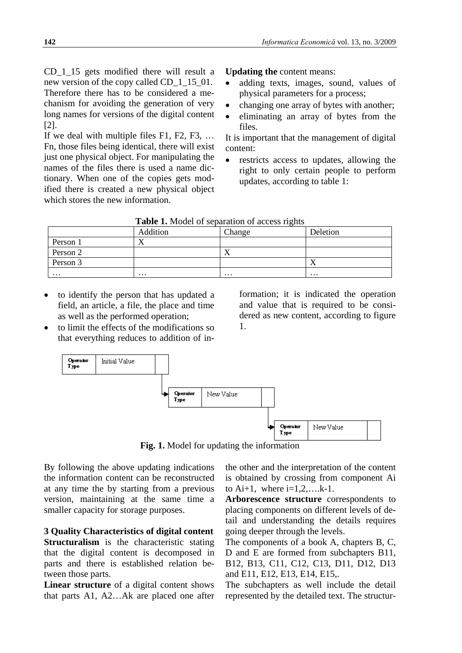CD\_1\_15 gets modified there will result a new version of the copy called CD  $1\,15\,01$ . Therefore there has to be considered a mechanism for avoiding the generation of very long names for versions of the digital content [2].

If we deal with multiple files F1, F2, F3, … Fn, those files being identical, there will exist just one physical object. For manipulating the names of the files there is used a name dictionary. When one of the copies gets modified there is created a new physical object which stores the new information.

**Updating the** content means:

- adding texts, images, sound, values of physical parameters for a process;
- changing one array of bytes with another;
- eliminating an array of bytes from the files.

It is important that the management of digital content:

restricts access to updates, allowing the right to only certain people to perform updates, according to table 1:

| TWOTE IN MICROL OF DEPARATION OF ACCEDIO TIMING |          |           |          |  |  |  |
|-------------------------------------------------|----------|-----------|----------|--|--|--|
|                                                 | Addition | Change    | Deletion |  |  |  |
| Person 1                                        |          |           |          |  |  |  |
| Person 2                                        |          | $\Lambda$ |          |  |  |  |
| Person 3                                        |          |           | 73       |  |  |  |
| $\cdots$                                        | $\cdots$ | $\cdots$  | $\cdots$ |  |  |  |

**Table 1.** Model of separation of access rights

- to identify the person that has updated a field, an article, a file, the place and time as well as the performed operation;
- to limit the effects of the modifications so that everything reduces to addition of in-

formation; it is indicated the operation and value that is required to be considered as new content, according to figure 1.



**Fig. 1.** Model for updating the information

By following the above updating indications the information content can be reconstructed at any time the by starting from a previous version, maintaining at the same time a smaller capacity for storage purposes.

**3 Quality Characteristics of digital content Structuralism** is the characteristic stating that the digital content is decomposed in parts and there is established relation between those parts.

**Linear structure** of a digital content shows that parts A1, A2…Ak are placed one after

the other and the interpretation of the content is obtained by crossing from component Ai to  $Ai+1$ , where  $i=1,2,\ldots,k-1$ .

**Arborescence structure** correspondents to placing components on different levels of detail and understanding the details requires going deeper through the levels.

The components of a book A, chapters B, C, D and E are formed from subchapters B11, B12, B13, C11, C12, C13, D11, D12, D13 and E11, E12, E13, E14, E15,.

The subchapters as well include the detail represented by the detailed text. The structur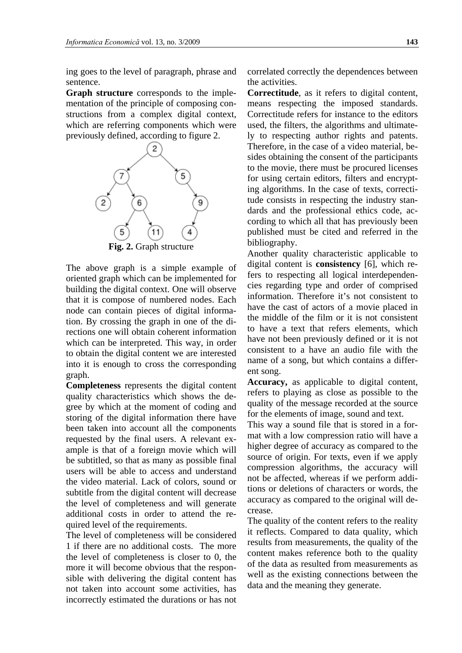ing goes to the level of paragraph, phrase and sentence.

**Graph structure** corresponds to the implementation of the principle of composing constructions from a complex digital context, which are referring components which were previously defined, according to figure 2.



The above graph is a simple example of oriented graph which can be implemented for building the digital context. One will observe that it is compose of numbered nodes. Each node can contain pieces of digital information. By crossing the graph in one of the directions one will obtain coherent information which can be interpreted. This way, in order to obtain the digital content we are interested into it is enough to cross the corresponding graph.

**Completeness** represents the digital content quality characteristics which shows the degree by which at the moment of coding and storing of the digital information there have been taken into account all the components requested by the final users. A relevant example is that of a foreign movie which will be subtitled, so that as many as possible final users will be able to access and understand the video material. Lack of colors, sound or subtitle from the digital content will decrease the level of completeness and will generate additional costs in order to attend the required level of the requirements.

The level of completeness will be considered 1 if there are no additional costs. The more the level of completeness is closer to 0, the more it will become obvious that the responsible with delivering the digital content has not taken into account some activities, has incorrectly estimated the durations or has not correlated correctly the dependences between the activities.

**Correctitude**, as it refers to digital content, means respecting the imposed standards. Correctitude refers for instance to the editors used, the filters, the algorithms and ultimately to respecting author rights and patents. Therefore, in the case of a video material, besides obtaining the consent of the participants to the movie, there must be procured licenses for using certain editors, filters and encrypting algorithms. In the case of texts, correctitude consists in respecting the industry standards and the professional ethics code, according to which all that has previously been published must be cited and referred in the bibliography.

Another quality characteristic applicable to digital content is **consistency** [6], which refers to respecting all logical interdependencies regarding type and order of comprised information. Therefore it's not consistent to have the cast of actors of a movie placed in the middle of the film or it is not consistent to have a text that refers elements, which have not been previously defined or it is not consistent to a have an audio file with the name of a song, but which contains a different song.

**Accuracy,** as applicable to digital content, refers to playing as close as possible to the quality of the message recorded at the source for the elements of image, sound and text.

This way a sound file that is stored in a format with a low compression ratio will have a higher degree of accuracy as compared to the source of origin. For texts, even if we apply compression algorithms, the accuracy will not be affected, whereas if we perform additions or deletions of characters or words, the accuracy as compared to the original will decrease.

The quality of the content refers to the reality it reflects. Compared to data quality, which results from measurements, the quality of the content makes reference both to the quality of the data as resulted from measurements as well as the existing connections between the data and the meaning they generate.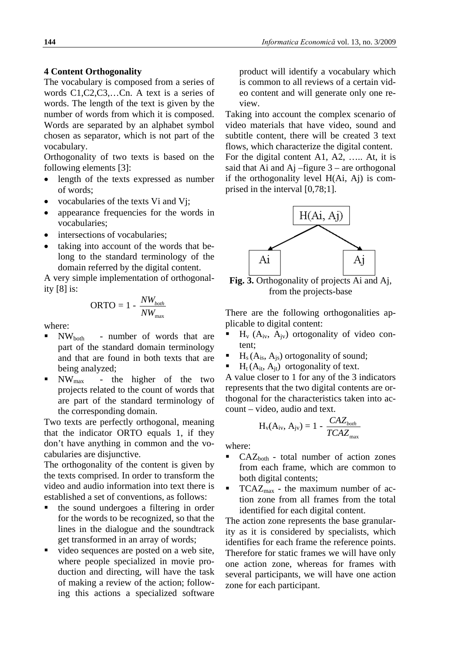### **4 Content Orthogonality**

The vocabulary is composed from a series of words C1,C2,C3,…Cn. A text is a series of words. The length of the text is given by the number of words from which it is composed. Words are separated by an alphabet symbol chosen as separator, which is not part of the vocabulary.

Orthogonality of two texts is based on the following elements [3]:

- length of the texts expressed as number of words;
- vocabularies of the texts Vi and Vj;
- appearance frequencies for the words in vocabularies;
- intersections of vocabularies:
- taking into account of the words that belong to the standard terminology of the domain referred by the digital content.

A very simple implementation of orthogonality [8] is:

$$
ORTO = 1 - \frac{NW_{both}}{NW_{max}}
$$

where:

- NWboth number of words that are part of the standard domain terminology and that are found in both texts that are being analyzed;
- $\blacksquare$  NW<sub>max</sub> the higher of the two projects related to the count of words that are part of the standard terminology of the corresponding domain.

Two texts are perfectly orthogonal, meaning that the indicator ORTO equals 1, if they don't have anything in common and the vocabularies are disjunctive.

The orthogonality of the content is given by the texts comprised. In order to transform the video and audio information into text there is established a set of conventions, as follows:

- the sound undergoes a filtering in order for the words to be recognized, so that the lines in the dialogue and the soundtrack get transformed in an array of words;
- video sequences are posted on a web site, where people specialized in movie production and directing, will have the task of making a review of the action; following this actions a specialized software

product will identify a vocabulary which is common to all reviews of a certain video content and will generate only one review.

Taking into account the complex scenario of video materials that have video, sound and subtitle content, there will be created 3 text flows, which characterize the digital content. For the digital content A1, A2, ….. At, it is said that Ai and  $Ai$  –figure  $3$  – are orthogonal if the orthogonality level H(Ai, Aj) is comprised in the interval [0,78;1].



**Fig. 3.** Orthogonality of projects Ai and Aj, from the projects-base

There are the following orthogonalities applicable to digital content:

- $H_v$  ( $A_{iv}$ ,  $A_{iv}$ ) ortogonality of video content;
- $H<sub>s</sub>(A<sub>is</sub>, A<sub>is</sub>)$  ortogonality of sound;
- $H_t(A_{it}, A_{it})$  ortogonality of text.

A value closer to 1 for any of the 3 indicators represents that the two digital contents are orthogonal for the characteristics taken into account – video, audio and text.

$$
H_v(A_{iv}, A_{jv}) = 1 - \frac{CAZ_{both}}{TCAZ_{max}}
$$

where:

- $CAZ_{both}$  total number of action zones from each frame, which are common to both digital contents;
- $TCAZ<sub>max</sub>$  the maximum number of action zone from all frames from the total identified for each digital content.

The action zone represents the base granularity as it is considered by specialists, which identifies for each frame the reference points. Therefore for static frames we will have only one action zone, whereas for frames with several participants, we will have one action zone for each participant.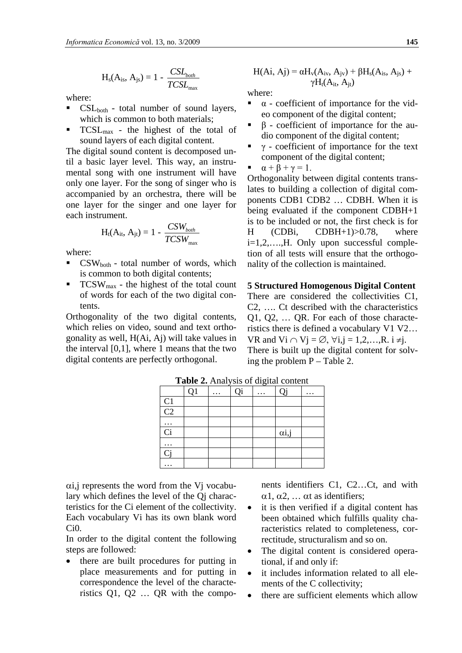$$
H_s(A_{is}, A_{js}) = 1 - \frac{CSL_{both}}{TCSL_{max}}
$$

where:

- CSLboth total number of sound layers, which is common to both materials;
- TCSLmax the highest of the total of sound layers of each digital content.

The digital sound content is decomposed until a basic layer level. This way, an instrumental song with one instrument will have only one layer. For the song of singer who is accompanied by an orchestra, there will be one layer for the singer and one layer for each instrument.

$$
H_{t}(A_{it}, A_{jt}) = 1 - \frac{CSW_{both}}{TCSW_{max}}
$$

where:

- CSWboth total number of words, which is common to both digital contents;
- $TCSW_{\text{max}}$  the highest of the total count of words for each of the two digital contents.

Orthogonality of the two digital contents, which relies on video, sound and text orthogonality as well, H(Ai, Aj) will take values in the interval  $[0,1]$ , where 1 means that the two digital contents are perfectly orthogonal.

$$
H(Ai, Aj) = \alpha H_v(A_{iv}, A_{jv}) + \beta H_s(A_{is}, A_{js}) + \gamma H_t(A_{it}, A_{jt})
$$

where:

- $\alpha$  coefficient of importance for the video component of the digital content;
- β coefficient of importance for the audio component of the digital content;
- γ coefficient of importance for the text component of the digital content;
- $\alpha + \beta + \gamma = 1$ .

Orthogonality between digital contents translates to building a collection of digital components CDB1 CDB2 … CDBH. When it is being evaluated if the component CDBH+1 is to be included or not, the first check is for H (CDBi, CDBH+1)>0.78, where i=1,2,….,H. Only upon successful completion of all tests will ensure that the orthogonality of the collection is maintained.

#### **5 Structured Homogenous Digital Content**

There are considered the collectivities C1, C2, …. Ct described with the characteristics Q1, Q2, … QR. For each of those characteristics there is defined a vocabulary V1 V2… VR and Vi ∩ Vj = ∅,  $\forall i, j = 1, 2, ..., R$ . i ≠j. There is built up the digital content for solving the problem  $P - Table 2$ .

|               |                |          |    | ັ |               |          |
|---------------|----------------|----------|----|---|---------------|----------|
|               | Q <sub>1</sub> | $\cdots$ | Qi | . | Qj            | $\cdots$ |
| $rac{C1}{C2}$ |                |          |    |   |               |          |
|               |                |          |    |   |               |          |
| $\cdots$      |                |          |    |   |               |          |
| Ci            |                |          |    |   | $\alpha i, j$ |          |
| $\cdots$      |                |          |    |   |               |          |
| Cj            |                |          |    |   |               |          |
|               |                |          |    |   |               |          |

**Table 2.** Analysis of digital content

αi,j represents the word from the Vj vocabulary which defines the level of the Qj characteristics for the Ci element of the collectivity. Each vocabulary Vi has its own blank word Ci0.

In order to the digital content the following steps are followed:

• there are built procedures for putting in place measurements and for putting in correspondence the level of the characteristics Q1, Q2 … QR with the components identifiers C1, C2…Ct, and with  $\alpha$ 1,  $\alpha$ 2, ...  $\alpha$ t as identifiers;

- it is then verified if a digital content has been obtained which fulfills quality characteristics related to completeness, correctitude, structuralism and so on.
- The digital content is considered operational, if and only if:
- it includes information related to all elements of the C collectivity;
- there are sufficient elements which allow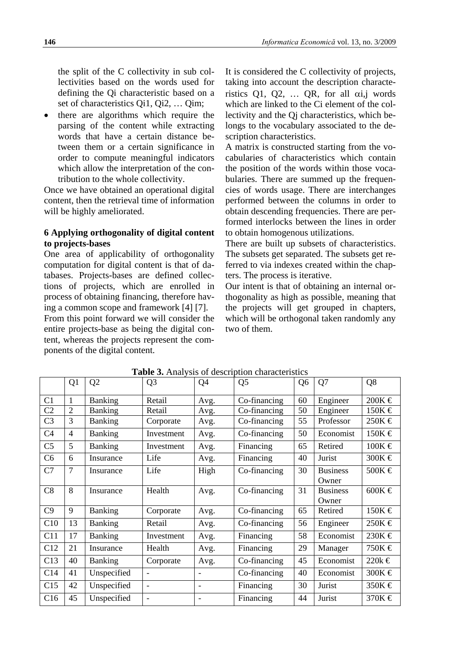the split of the C collectivity in sub collectivities based on the words used for defining the Qi characteristic based on a set of characteristics Qi1, Qi2, … Qim;

• there are algorithms which require the parsing of the content while extracting words that have a certain distance between them or a certain significance in order to compute meaningful indicators which allow the interpretation of the contribution to the whole collectivity.

Once we have obtained an operational digital content, then the retrieval time of information will be highly ameliorated.

## **6 Applying orthogonality of digital content to projects-bases**

One area of applicability of orthogonality computation for digital content is that of databases. Projects-bases are defined collections of projects, which are enrolled in process of obtaining financing, therefore having a common scope and framework [4] [7]. From this point forward we will consider the entire projects-base as being the digital content, whereas the projects represent the components of the digital content.

It is considered the C collectivity of projects, taking into account the description characteristics Q1, Q2, ... QR, for all  $\alpha i$ , words which are linked to the Ci element of the collectivity and the Qj characteristics, which belongs to the vocabulary associated to the description characteristics.

A matrix is constructed starting from the vocabularies of characteristics which contain the position of the words within those vocabularies. There are summed up the frequencies of words usage. There are interchanges performed between the columns in order to obtain descending frequencies. There are performed interlocks between the lines in order to obtain homogenous utilizations.

There are built up subsets of characteristics. The subsets get separated. The subsets get referred to via indexes created within the chapters. The process is iterative.

Our intent is that of obtaining an internal orthogonality as high as possible, meaning that the projects will get grouped in chapters, which will be orthogonal taken randomly any two of them.

|                | Q <sub>1</sub> | Q <sub>2</sub> | Q <sub>3</sub>           | Q <sub>4</sub>               | Q <sub>5</sub> | Q <sub>6</sub> | Q7                       | Q8              |
|----------------|----------------|----------------|--------------------------|------------------------------|----------------|----------------|--------------------------|-----------------|
| C <sub>1</sub> | 1              | Banking        | Retail                   | Avg.                         | Co-financing   | 60             | Engineer                 | $200K \in$      |
| C <sub>2</sub> | $\overline{2}$ | <b>Banking</b> | Retail                   | Avg.                         | Co-financing   | 50             | Engineer                 | 150K €          |
| C <sub>3</sub> | 3              | <b>Banking</b> | Corporate                | Avg.                         | Co-financing   | 55             | Professor                | $250K \in$      |
| C <sub>4</sub> | $\overline{4}$ | <b>Banking</b> | Investment               | Avg.                         | Co-financing   | 50             | Economist                | $150K \in$      |
| C <sub>5</sub> | 5              | Banking        | Investment               | Avg.                         | Financing      | 65             | Retired                  | $100K \in$      |
| C <sub>6</sub> | 6              | Insurance      | Life                     | Avg.                         | Financing      | 40             | Jurist                   | 300K $\in$      |
| C7             | 7              | Insurance      | Life                     | High                         | Co-financing   | 30             | <b>Business</b><br>Owner | $500K \in$      |
| C8             | 8              | Insurance      | Health                   | Avg.                         | Co-financing   | 31             | <b>Business</b><br>Owner | 600K $\in$      |
| C9             | 9              | Banking        | Corporate                | Avg.                         | Co-financing   | 65             | Retired                  | $150K \in$      |
| C10            | 13             | Banking        | Retail                   | Avg.                         | Co-financing   | 56             | Engineer                 | $250K \in$      |
| C11            | 17             | Banking        | Investment               | Avg.                         | Financing      | 58             | Economist                | $230K \in$      |
| C12            | 21             | Insurance      | Health                   | Avg.                         | Financing      | 29             | Manager                  | 750K €          |
| C13            | 40             | <b>Banking</b> | Corporate                | Avg.                         | Co-financing   | 45             | Economist                | $220k$ €        |
| C14            | 41             | Unspecified    |                          |                              | Co-financing   | 40             | Economist                | 300K $\epsilon$ |
| C15            | 42             | Unspecified    |                          |                              | Financing      | 30             | Jurist                   | $350K \in$      |
| C16            | 45             | Unspecified    | $\overline{\phantom{a}}$ | $\qquad \qquad \blacksquare$ | Financing      | 44             | Jurist                   | 370 $K \in$     |

**Table 3.** Analysis of description characteristics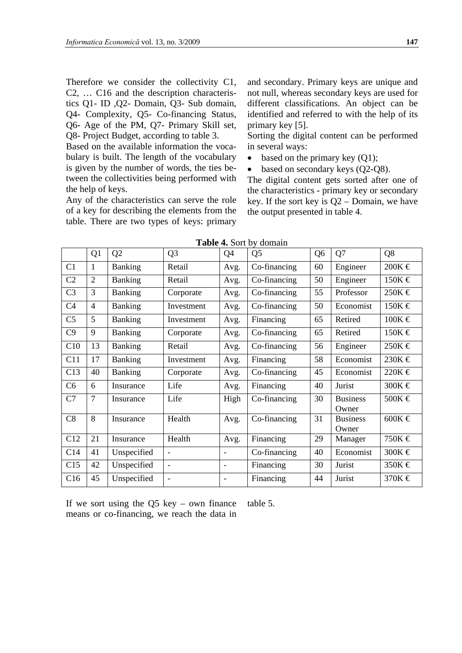Therefore we consider the collectivity C1, C2, … C16 and the description characteristics Q1- ID ,Q2- Domain, Q3- Sub domain, Q4- Complexity, Q5- Co-financing Status, Q6- Age of the PM, Q7- Primary Skill set, Q8- Project Budget, according to table 3.

Based on the available information the vocabulary is built. The length of the vocabulary is given by the number of words, the ties between the collectivities being performed with the help of keys.

Any of the characteristics can serve the role of a key for describing the elements from the table. There are two types of keys: primary and secondary. Primary keys are unique and not null, whereas secondary keys are used for different classifications. An object can be identified and referred to with the help of its primary key [5].

Sorting the digital content can be performed in several ways:

- based on the primary key  $(Q1)$ ;
- based on secondary keys (Q2-Q8).

The digital content gets sorted after one of the characteristics - primary key or secondary key. If the sort key is  $Q2 -$  Domain, we have the output presented in table 4.

|                | Q1             | Q2             | Q <sub>3</sub>           | Q <sub>4</sub> | Q <sub>5</sub> | Q <sub>6</sub> | Q7                       | Q8         |
|----------------|----------------|----------------|--------------------------|----------------|----------------|----------------|--------------------------|------------|
| C1             | 1              | Banking        | Retail                   | Avg.           | Co-financing   | 60             | Engineer                 | 200K $\in$ |
| C <sub>2</sub> | $\overline{2}$ | <b>Banking</b> | Retail                   | Avg.           | Co-financing   | 50             | Engineer                 | $150K \in$ |
| C <sub>3</sub> | 3              | Banking        | Corporate                | Avg.           | Co-financing   | 55             | Professor                | $250K \in$ |
| C <sub>4</sub> | $\overline{4}$ | <b>Banking</b> | Investment               | Avg.           | Co-financing   | 50             | Economist                | $150K$ €   |
| C <sub>5</sub> | 5              | Banking        | Investment               | Avg.           | Financing      | 65             | Retired                  | $100K \in$ |
| C9             | 9              | <b>Banking</b> | Corporate                | Avg.           | Co-financing   | 65             | Retired                  | $150K \in$ |
| C10            | 13             | <b>Banking</b> | Retail                   | Avg.           | Co-financing   | 56             | Engineer                 | $250K \in$ |
| C11            | 17             | Banking        | Investment               | Avg.           | Financing      | 58             | Economist                | $230K$ €   |
| C13            | 40             | <b>Banking</b> | Corporate                | Avg.           | Co-financing   | 45             | Economist                | $220K$ €   |
| C6             | 6              | Insurance      | Life                     | Avg.           | Financing      | 40             | Jurist                   | 300K $\in$ |
| C7             | 7              | Insurance      | Life                     | High           | Co-financing   | 30             | <b>Business</b><br>Owner | 500K €     |
| C8             | 8              | Insurance      | Health                   | Avg.           | Co-financing   | 31             | <b>Business</b><br>Owner | 600K $\in$ |
| C12            | 21             | Insurance      | Health                   | Avg.           | Financing      | 29             | Manager                  | 750K €     |
| C14            | 41             | Unspecified    |                          |                | Co-financing   | 40             | Economist                | 300K $\in$ |
| C15            | 42             | Unspecified    |                          |                | Financing      | 30             | Jurist                   | 350K €     |
| C16            | 45             | Unspecified    | $\overline{\phantom{a}}$ |                | Financing      | 44             | Jurist                   | 370K $\in$ |

**Table 4.** Sort by domain

If we sort using the Q5 key – own finance means or co-financing, we reach the data in table 5.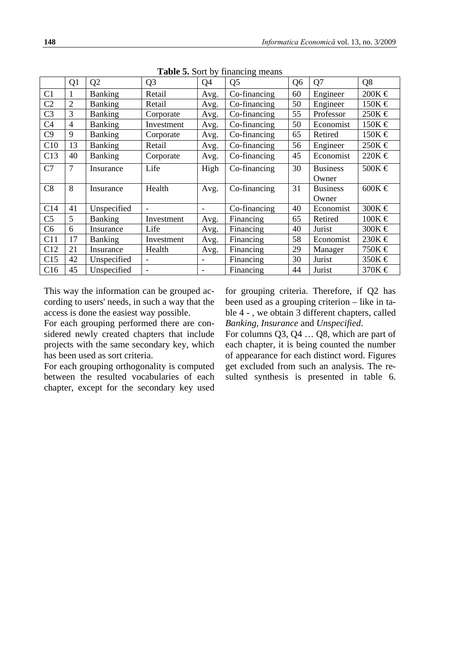|                | Q1             | Q2          | Q <sub>3</sub> | Q <sub>4</sub> | Q <sub>5</sub> | Q <sub>6</sub> | Q7              | Q8         |
|----------------|----------------|-------------|----------------|----------------|----------------|----------------|-----------------|------------|
| C <sub>1</sub> | 1              | Banking     | Retail         | Avg.           | Co-financing   | 60             | Engineer        | $200K$ €   |
| C <sub>2</sub> | $\overline{2}$ | Banking     | Retail         | Avg.           | Co-financing   | 50             | Engineer        | 150K €     |
| C <sub>3</sub> | 3              | Banking     | Corporate      | Avg.           | Co-financing   | 55             | Professor       | $250K$ €   |
| C <sub>4</sub> | $\overline{4}$ | Banking     | Investment     | Avg.           | Co-financing   | 50             | Economist       | $150K$ €   |
| C9             | 9              | Banking     | Corporate      | Avg.           | Co-financing   | 65             | Retired         | $150K$ €   |
| C10            | 13             | Banking     | Retail         | Avg.           | Co-financing   | 56             | Engineer        | $250K \in$ |
| C13            | 40             | Banking     | Corporate      | Avg.           | Co-financing   | 45             | Economist       | $220K$ €   |
| C7             | 7              | Insurance   | Life           | High           | Co-financing   | 30             | <b>Business</b> | 500K $\in$ |
|                |                |             |                |                |                |                | Owner           |            |
| C8             | 8              | Insurance   | Health         | Avg.           | Co-financing   | 31             | <b>Business</b> | 600K $\in$ |
|                |                |             |                |                |                |                | Owner           |            |
| C14            | 41             | Unspecified |                |                | Co-financing   | 40             | Economist       | 300K €     |
| C <sub>5</sub> | 5              | Banking     | Investment     | Avg.           | Financing      | 65             | Retired         | $100K \in$ |
| C <sub>6</sub> | 6              | Insurance   | Life           | Avg.           | Financing      | 40             | Jurist          | 300K €     |
| C11            | 17             | Banking     | Investment     | Avg.           | Financing      | 58             | Economist       | 230K €     |
| C12            | 21             | Insurance   | Health         | Avg.           | Financing      | 29             | Manager         | 750K €     |
| C15            | 42             | Unspecified |                |                | Financing      | 30             | Jurist          | 350K $\in$ |
| C16            | 45             | Unspecified |                |                | Financing      | 44             | Jurist          | 370K €     |

**Table 5.** Sort by financing means

This way the information can be grouped according to users' needs, in such a way that the access is done the easiest way possible.

For each grouping performed there are considered newly created chapters that include projects with the same secondary key, which has been used as sort criteria.

For each grouping orthogonality is computed between the resulted vocabularies of each chapter, except for the secondary key used for grouping criteria. Therefore, if Q2 has been used as a grouping criterion – like in table 4 - , we obtain 3 different chapters, called *Banking*, *Insurance* and *Unspecified*.

For columns Q3, Q4 … Q8, which are part of each chapter, it is being counted the number of appearance for each distinct word. Figures get excluded from such an analysis. The resulted synthesis is presented in table 6.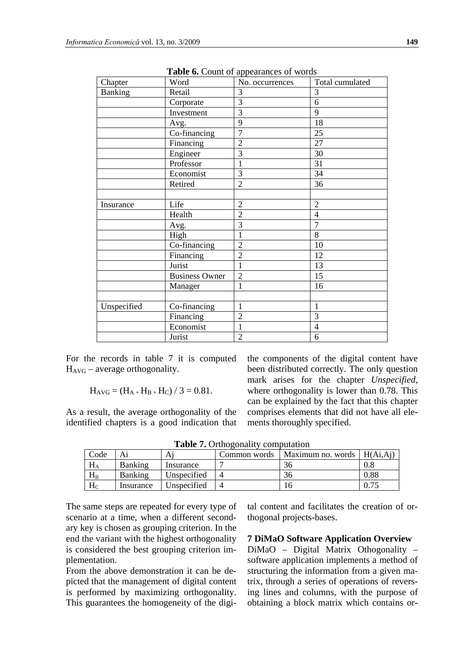|             |                       | <b>rapid of Count of appearances of words</b> |                 |
|-------------|-----------------------|-----------------------------------------------|-----------------|
| Chapter     | Word                  | No. occurrences                               | Total cumulated |
| Banking     | Retail                | 3                                             | 3               |
|             | Corporate             | $\overline{3}$                                | 6               |
|             | Investment            | 3                                             | 9               |
|             | Avg.                  | 9                                             | 18              |
|             | Co-financing          | $\overline{7}$                                | 25              |
|             | Financing             | $\overline{2}$                                | 27              |
|             | Engineer              | $\overline{3}$                                | 30              |
|             | Professor             | 1                                             | 31              |
|             | Economist             | 3                                             | 34              |
|             | Retired               | $\overline{2}$                                | 36              |
|             |                       |                                               |                 |
| Insurance   | Life                  | $\overline{2}$                                | $\overline{2}$  |
|             | Health                | $\overline{2}$                                | $\overline{4}$  |
|             | Avg.                  | $\overline{3}$                                | $\overline{7}$  |
|             | High                  | 1                                             | 8               |
|             | Co-financing          | $\overline{2}$                                | 10              |
|             | Financing             | $\overline{2}$                                | 12              |
|             | Jurist                | $\mathbf{1}$                                  | 13              |
|             | <b>Business Owner</b> | $\overline{2}$                                | 15              |
|             | Manager               | $\mathbf{1}$                                  | 16              |
|             |                       |                                               |                 |
| Unspecified | Co-financing          | 1                                             | $\mathbf{1}$    |
|             | Financing             | $\overline{2}$                                | 3               |
|             | Economist             | $\mathbf{1}$                                  | $\overline{4}$  |
|             | Jurist                | $\overline{2}$                                | 6               |

**Table 6.** Count of appearances of words

For the records in table 7 it is computed  $H_{AVG}$  – average orthogonality.

$$
H_{AVG} = (H_{A+}H_{B+}H_C) / 3 = 0.81.
$$

As a result, the average orthogonality of the identified chapters is a good indication that the components of the digital content have been distributed correctly. The only question mark arises for the chapter *Unspecified*, where orthogonality is lower than 0.78. This can be explained by the fact that this chapter comprises elements that did not have all elements thoroughly specified.

**Table 7.** Orthogonality computation

| Code      |           | А           | Common words | Maximum no. words | H(Ai, Ai)  |
|-----------|-----------|-------------|--------------|-------------------|------------|
| $\rm H_A$ | Banking   | Insurance   |              | 36                |            |
| $\rm H_B$ | Banking   | Unspecified |              | 36                | $\rm 0.88$ |
| $\rm H_C$ | Insurance | Unspecified |              |                   |            |

The same steps are repeated for every type of scenario at a time, when a different secondary key is chosen as grouping criterion. In the end the variant with the highest orthogonality is considered the best grouping criterion implementation.

From the above demonstration it can be depicted that the management of digital content is performed by maximizing orthogonality. This guarantees the homogeneity of the digital content and facilitates the creation of orthogonal projects-bases.

**7 DiMaO Software Application Overview**

DiMaO – Digital Matrix Othogonality – software application implements a method of structuring the information from a given matrix, through a series of operations of reversing lines and columns, with the purpose of obtaining a block matrix which contains or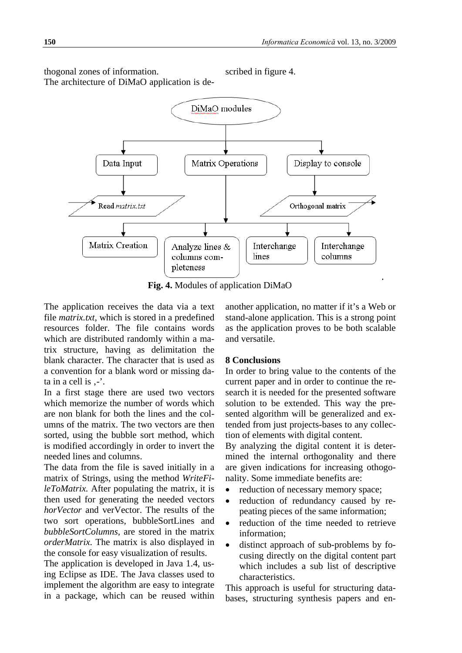thogonal zones of information. The architecture of DiMaO application is described in figure 4.



**Fig. 4.** Modules of application DiMaO

The application receives the data via a text file *matrix.txt*, which is stored in a predefined resources folder. The file contains words which are distributed randomly within a matrix structure, having as delimitation the blank character. The character that is used as a convention for a blank word or missing data in a cell is  $, \cdot$ .

In a first stage there are used two vectors which memorize the number of words which are non blank for both the lines and the columns of the matrix. The two vectors are then sorted, using the bubble sort method, which is modified accordingly in order to invert the needed lines and columns.

The data from the file is saved initially in a matrix of Strings, using the method *WriteFileToMatrix.* After populating the matrix, it is then used for generating the needed vectors *horVector* and verVector. The results of the two sort operations, bubbleSortLines and *bubbleSortColumns*, are stored in the matrix *orderMatrix*. The matrix is also displayed in the console for easy visualization of results.

The application is developed in Java 1.4, using Eclipse as IDE. The Java classes used to implement the algorithm are easy to integrate in a package, which can be reused within

another application, no matter if it's a Web or stand-alone application. This is a strong point as the application proves to be both scalable and versatile.

### **8 Conclusions**

In order to bring value to the contents of the current paper and in order to continue the research it is needed for the presented software solution to be extended. This way the presented algorithm will be generalized and extended from just projects-bases to any collection of elements with digital content.

By analyzing the digital content it is determined the internal orthogonality and there are given indications for increasing othogonality. Some immediate benefits are:

- reduction of necessary memory space;
- reduction of redundancy caused by repeating pieces of the same information;
- reduction of the time needed to retrieve information;
- distinct approach of sub-problems by focusing directly on the digital content part which includes a sub list of descriptive characteristics.

This approach is useful for structuring databases, structuring synthesis papers and en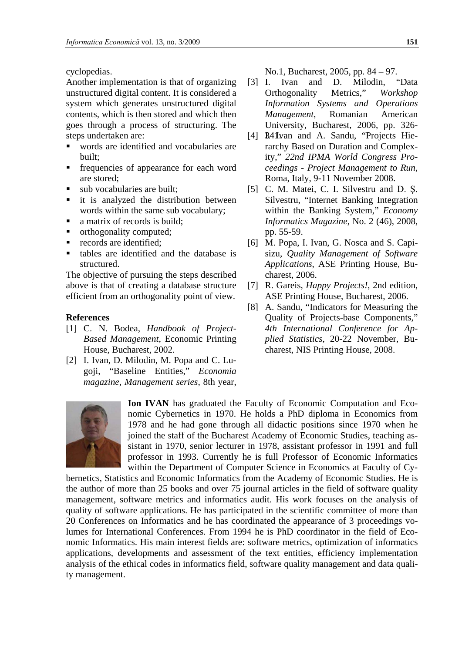cyclopedias.

Another implementation is that of organizing unstructured digital content. It is considered a system which generates unstructured digital contents, which is then stored and which then goes through a process of structuring. The steps undertaken are:

- words are identified and vocabularies are built;
- frequencies of appearance for each word are stored;
- sub vocabularies are built;
- **it** is analyzed the distribution between words within the same sub vocabulary;
- a matrix of records is build;
- orthogonality computed;
- **•** records are identified:
- tables are identified and the database is structured.

The objective of pursuing the steps described above is that of creating a database structure efficient from an orthogonality point of view.

## **References**

- [1] C. N. Bodea, *Handbook of Project-Based Management*, Economic Printing House, Bucharest, 2002.
- [2] I. Ivan, D. Milodin, M. Popa and C. Lugoji, "Baseline Entities," *Economia magazine, Management series*, 8th year,

No.1, Bucharest, 2005, pp. 84 – 97.

- [3] I. Ivan and D. Milodin, "Data Orthogonality Metrics," *Workshop Information Systems and Operations Management*, Romanian American University, Bucharest, 2006, pp. 326-
- [4] B.41 Ivan and A. Sandu, "Projects Hierarchy Based on Duration and Complexity," *22nd IPMA World Congress Proceedings - Project Management to Run*, Roma, Italy, 9-11 November 2008.
- [5] C. M. Matei, C. I. Silvestru and D. Ş. Silvestru, "Internet Banking Integration within the Banking System," *Economy Informatics Magazine*, No. 2 (46), 2008, pp. 55-59.
- [6] M. Popa, I. Ivan, G. Nosca and S. Capisizu, *Quality Management of Software Applications*, ASE Printing House, Bucharest, 2006.
- [7] R. Gareis, *Happy Projects!*, 2nd edition, ASE Printing House, Bucharest, 2006.
- [8] A. Sandu, "Indicators for Measuring the Quality of Projects-base Components," *4th International Conference for Applied Statistics*, 20-22 November, Bucharest, NIS Printing House, 2008.



**Ion IVAN** has graduated the Faculty of Economic Computation and Economic Cybernetics in 1970. He holds a PhD diploma in Economics from 1978 and he had gone through all didactic positions since 1970 when he joined the staff of the Bucharest Academy of Economic Studies, teaching assistant in 1970, senior lecturer in 1978, assistant professor in 1991 and full professor in 1993. Currently he is full Professor of Economic Informatics within the Department of Computer Science in Economics at Faculty of Cy-

bernetics, Statistics and Economic Informatics from the Academy of Economic Studies. He is the author of more than 25 books and over 75 journal articles in the field of software quality management, software metrics and informatics audit. His work focuses on the analysis of quality of software applications. He has participated in the scientific committee of more than 20 Conferences on Informatics and he has coordinated the appearance of 3 proceedings volumes for International Conferences. From 1994 he is PhD coordinator in the field of Economic Informatics. His main interest fields are: software metrics, optimization of informatics applications, developments and assessment of the text entities, efficiency implementation analysis of the ethical codes in informatics field, software quality management and data quality management.